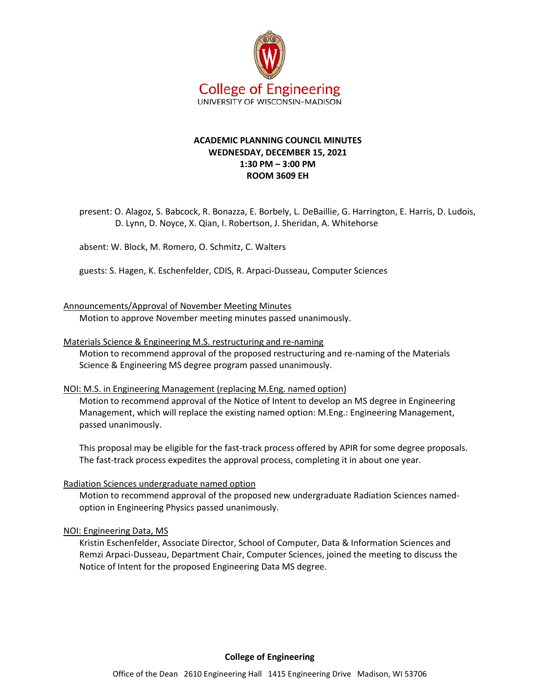

# **ACADEMIC PLANNING COUNCIL MINUTES WEDNESDAY, DECEMBER 15, 2021 1:30 PM – 3:00 PM ROOM 3609 EH**

present: O. Alagoz, S. Babcock, R. Bonazza, E. Borbely, L. DeBaillie, G. Harrington, E. Harris, D. Ludois, D. Lynn, D. Noyce, X. Qian, I. Robertson, J. Sheridan, A. Whitehorse

absent: W. Block, M. Romero, O. Schmitz, C. Walters

guests: S. Hagen, K. Eschenfelder, CDIS, R. Arpaci-Dusseau, Computer Sciences

## Announcements/Approval of November Meeting Minutes

Motion to approve November meeting minutes passed unanimously.

### Materials Science & Engineering M.S. restructuring and re-naming

Motion to recommend approval of the proposed restructuring and re-naming of the Materials Science & Engineering MS degree program passed unanimously.

### NOI: M.S. in Engineering Management (replacing M.Eng. named option)

Motion to recommend approval of the Notice of Intent to develop an MS degree in Engineering Management, which will replace the existing named option: M.Eng.: Engineering Management, passed unanimously.

This proposal may be eligible for the fast-track process offered by APIR for some degree proposals. The fast-track process expedites the approval process, completing it in about one year.

### Radiation Sciences undergraduate named option

Motion to recommend approval of the proposed new undergraduate Radiation Sciences namedoption in Engineering Physics passed unanimously.

### NOI: Engineering Data, MS

Kristin Eschenfelder, Associate Director, School of Computer, Data & Information Sciences and Remzi Arpaci-Dusseau, Department Chair, Computer Sciences, joined the meeting to discuss the Notice of Intent for the proposed Engineering Data MS degree.

### **College of Engineering**